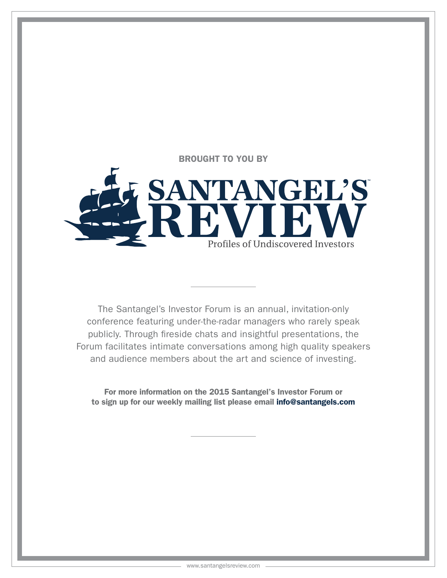BROUGHT TO YOU BY



The Santangel's Investor Forum is an annual, invitation-only conference featuring under-the-radar managers who rarely speak publicly. Through fireside chats and insightful presentations, the Forum facilitates intimate conversations among high quality speakers and audience members about the art and science of investing.

For more information on the 2015 Santangel's Investor Forum or to sign up for our weekly mailing list please email info@santangels.com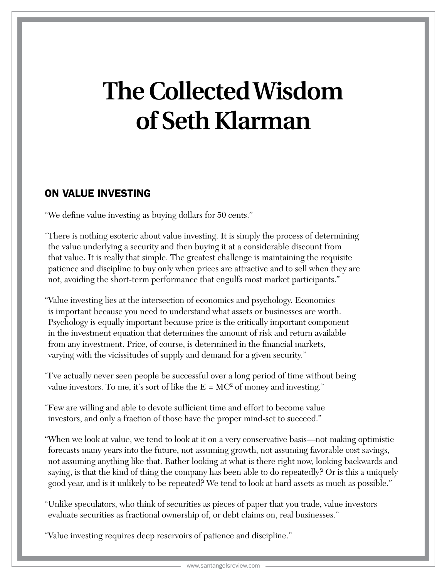# **The Collected Wisdom of Seth Klarman**

## ON VALUE INVESTING

"We define value investing as buying dollars for 50 cents."

- "There is nothing esoteric about value investing. It is simply the process of determining the value underlying a security and then buying it at a considerable discount from that value. It is really that simple. The greatest challenge is maintaining the requisite patience and discipline to buy only when prices are attractive and to sell when they are not, avoiding the short-term performance that engulfs most market participants."
- "Value investing lies at the intersection of economics and psychology. Economics is important because you need to understand what assets or businesses are worth. Psychology is equally important because price is the critically important component in the investment equation that determines the amount of risk and return available from any investment. Price, of course, is determined in the financial markets, varying with the vicissitudes of supply and demand for a given security."
- "I've actually never seen people be successful over a long period of time without being value investors. To me, it's sort of like the  $E = MC^2$  of money and investing."
- "Few are willing and able to devote sufficient time and effort to become value investors, and only a fraction of those have the proper mind-set to succeed."
- "When we look at value, we tend to look at it on a very conservative basis—not making optimistic forecasts many years into the future, not assuming growth, not assuming favorable cost savings, not assuming anything like that. Rather looking at what is there right now, looking backwards and saying, is that the kind of thing the company has been able to do repeatedly? Or is this a uniquely good year, and is it unlikely to be repeated? We tend to look at hard assets as much as possible."
- "Unlike speculators, who think of securities as pieces of paper that you trade, value investors evaluate securities as fractional ownership of, or debt claims on, real businesses."
- "Value investing requires deep reservoirs of patience and discipline."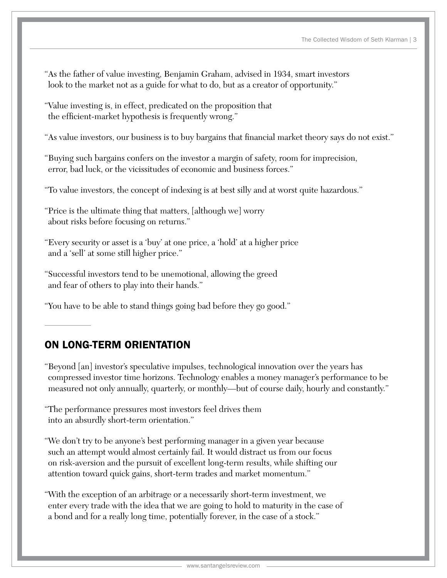- "As the father of value investing, Benjamin Graham, advised in 1934, smart investors look to the market not as a guide for what to do, but as a creator of opportunity."
- "Value investing is, in effect, predicated on the proposition that the efficient-market hypothesis is frequently wrong."

"As value investors, our business is to buy bargains that financial market theory says do not exist."

- "Buying such bargains confers on the investor a margin of safety, room for imprecision, error, bad luck, or the vicissitudes of economic and business forces."
- "To value investors, the concept of indexing is at best silly and at worst quite hazardous."
- "Price is the ultimate thing that matters, [although we] worry about risks before focusing on returns."
- "Every security or asset is a 'buy' at one price, a 'hold' at a higher price and a 'sell' at some still higher price."
- "Successful investors tend to be unemotional, allowing the greed and fear of others to play into their hands."
- "You have to be able to stand things going bad before they go good."

## ON LONG-TERM ORIENTATION

- "Beyond [an] investor's speculative impulses, technological innovation over the years has compressed investor time horizons. Technology enables a money manager's performance to be measured not only annually, quarterly, or monthly—but of course daily, hourly and constantly."
- "The performance pressures most investors feel drives them into an absurdly short-term orientation."
- "We don't try to be anyone's best performing manager in a given year because such an attempt would almost certainly fail. It would distract us from our focus on risk-aversion and the pursuit of excellent long-term results, while shifting our attention toward quick gains, short-term trades and market momentum."
- "With the exception of an arbitrage or a necessarily short-term investment, we enter every trade with the idea that we are going to hold to maturity in the case of a bond and for a really long time, potentially forever, in the case of a stock."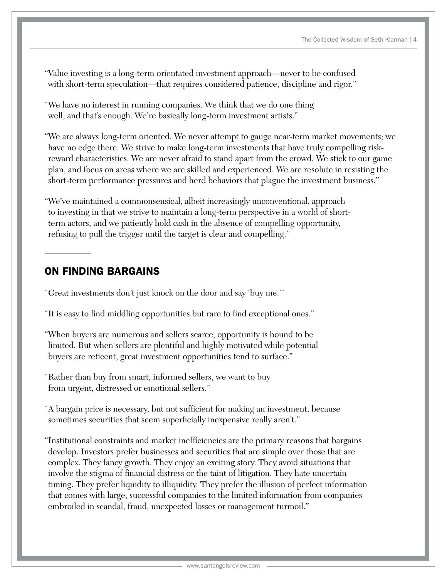- "Value investing is a long-term orientated investment approach—never to be confused with short-term speculation—that requires considered patience, discipline and rigor."
- "We have no interest in running companies. We think that we do one thing well, and that's enough. We're basically long-term investment artists."
- "We are always long-term oriented. We never attempt to gauge near-term market movements; we have no edge there. We strive to make long-term investments that have truly compelling riskreward characteristics. We are never afraid to stand apart from the crowd. We stick to our game plan, and focus on areas where we are skilled and experienced. We are resolute in resisting the short-term performance pressures and herd behaviors that plague the investment business."
- "We've maintained a commonsensical, albeit increasingly unconventional, approach to investing in that we strive to maintain a long-term perspective in a world of shortterm actors, and we patiently hold cash in the absence of compelling opportunity, refusing to pull the trigger until the target is clear and compelling."

## ON FINDING BARGAINS

"Great investments don't just knock on the door and say 'buy me.'"

- "It is easy to find middling opportunities but rare to find exceptional ones."
- "When buyers are numerous and sellers scarce, opportunity is bound to be limited. But when sellers are plentiful and highly motivated while potential buyers are reticent, great investment opportunities tend to surface."
- "Rather than buy from smart, informed sellers, we want to buy from urgent, distressed or emotional sellers."
- "A bargain price is necessary, but not sufficient for making an investment, because sometimes securities that seem superficially inexpensive really aren't."
- "Institutional constraints and market inefficiencies are the primary reasons that bargains develop. Investors prefer businesses and securities that are simple over those that are complex. They fancy growth. They enjoy an exciting story. They avoid situations that involve the stigma of financial distress or the taint of litigation. They hate uncertain timing. They prefer liquidity to illiquidity. They prefer the illusion of perfect information that comes with large, successful companies to the limited information from companies embroiled in scandal, fraud, unexpected losses or management turmoil."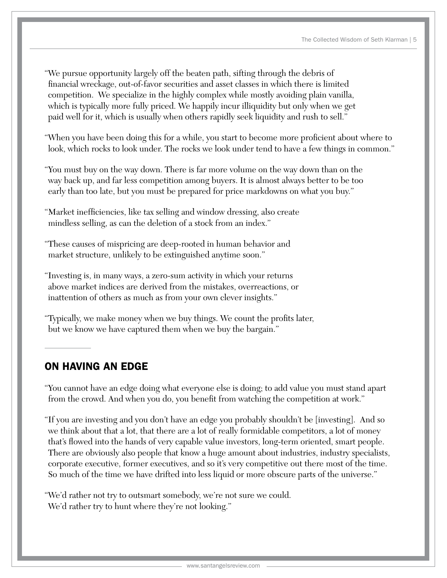- "We pursue opportunity largely off the beaten path, sifting through the debris of financial wreckage, out-of-favor securities and asset classes in which there is limited competition. We specialize in the highly complex while mostly avoiding plain vanilla, which is typically more fully priced. We happily incur illiquidity but only when we get paid well for it, which is usually when others rapidly seek liquidity and rush to sell."
- "When you have been doing this for a while, you start to become more proficient about where to look, which rocks to look under. The rocks we look under tend to have a few things in common."
- "You must buy on the way down. There is far more volume on the way down than on the way back up, and far less competition among buyers. It is almost always better to be too early than too late, but you must be prepared for price markdowns on what you buy."
- "Market inefficiencies, like tax selling and window dressing, also create mindless selling, as can the deletion of a stock from an index."
- "These causes of mispricing are deep-rooted in human behavior and market structure, unlikely to be extinguished anytime soon."
- "Investing is, in many ways, a zero-sum activity in which your returns above market indices are derived from the mistakes, overreactions, or inattention of others as much as from your own clever insights."
- "Typically, we make money when we buy things. We count the profits later, but we know we have captured them when we buy the bargain."

## ON HAVING AN EDGE

"You cannot have an edge doing what everyone else is doing; to add value you must stand apart from the crowd. And when you do, you benefit from watching the competition at work."

- "If you are investing and you don't have an edge you probably shouldn't be [investing]. And so we think about that a lot, that there are a lot of really formidable competitors, a lot of money that's flowed into the hands of very capable value investors, long-term oriented, smart people. There are obviously also people that know a huge amount about industries, industry specialists, corporate executive, former executives, and so it's very competitive out there most of the time. So much of the time we have drifted into less liquid or more obscure parts of the universe."
- "We'd rather not try to outsmart somebody, we're not sure we could. We'd rather try to hunt where they're not looking."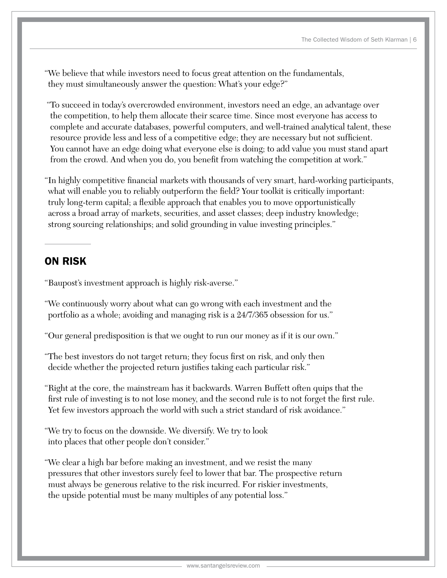"We believe that while investors need to focus great attention on the fundamentals, they must simultaneously answer the question: What's your edge?"

 "To succeed in today's overcrowded environment, investors need an edge, an advantage over the competition, to help them allocate their scarce time. Since most everyone has access to complete and accurate databases, powerful computers, and well-trained analytical talent, these resource provide less and less of a competitive edge; they are necessary but not sufficient. You cannot have an edge doing what everyone else is doing; to add value you must stand apart from the crowd. And when you do, you benefit from watching the competition at work."

"In highly competitive financial markets with thousands of very smart, hard-working participants, what will enable you to reliably outperform the field? Your toolkit is critically important: truly long-term capital; a flexible approach that enables you to move opportunistically across a broad array of markets, securities, and asset classes; deep industry knowledge; strong sourcing relationships; and solid grounding in value investing principles."

## ON RISK

"Baupost's investment approach is highly risk-averse."

"We continuously worry about what can go wrong with each investment and the portfolio as a whole; avoiding and managing risk is a 24/7/365 obsession for us."

"Our general predisposition is that we ought to run our money as if it is our own."

"The best investors do not target return; they focus first on risk, and only then decide whether the projected return justifies taking each particular risk."

"Right at the core, the mainstream has it backwards. Warren Buffett often quips that the first rule of investing is to not lose money, and the second rule is to not forget the first rule. Yet few investors approach the world with such a strict standard of risk avoidance."

"We try to focus on the downside. We diversify. We try to look into places that other people don't consider."

"We clear a high bar before making an investment, and we resist the many pressures that other investors surely feel to lower that bar. The prospective return must always be generous relative to the risk incurred. For riskier investments, the upside potential must be many multiples of any potential loss."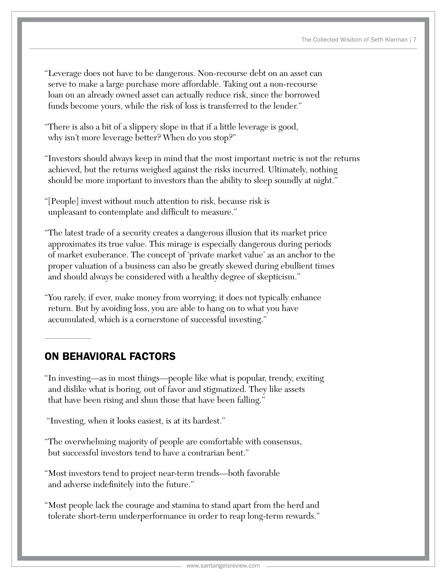- "Leverage does not have to be dangerous. Non-recourse debt on an asset can serve to make a large purchase more affordable. Taking out a non-recourse loan on an already owned asset can actually reduce risk, since the borrowed funds become yours, while the risk of loss is transferred to the lender."
- "There is also a bit of a slippery slope in that if a little leverage is good, why isn't more leverage better? When do you stop?"
- "Investors should always keep in mind that the most important metric is not the returns achieved, but the returns weighed against the risks incurred. Ultimately, nothing should be more important to investors than the ability to sleep soundly at night."
- "[People] invest without much attention to risk, because risk is unpleasant to contemplate and difficult to measure."
- "The latest trade of a security creates a dangerous illusion that its market price approximates its true value. This mirage is especially dangerous during periods of market exuberance. The concept of 'private market value' as an anchor to the proper valuation of a business can also be greatly skewed during ebullient times and should always be considered with a healthy degree of skepticism."
- "You rarely, if ever, make money from worrying; it does not typically enhance return. But by avoiding loss, you are able to hang on to what you have accumulated, which is a cornerstone of successful investing."

## ON BEHAVIORAL FACTORS

- "In investing—as in most things—people like what is popular, trendy, exciting and dislike what is boring, out of favor and stigmatized. They like assets that have been rising and shun those that have been falling."
- "Investing, when it looks easiest, is at its hardest."
- "The overwhelming majority of people are comfortable with consensus, but successful investors tend to have a contrarian bent."
- "Most investors tend to project near-term trends—both favorable and adverse indefinitely into the future."
- "Most people lack the courage and stamina to stand apart from the herd and tolerate short-term underperformance in order to reap long-term rewards."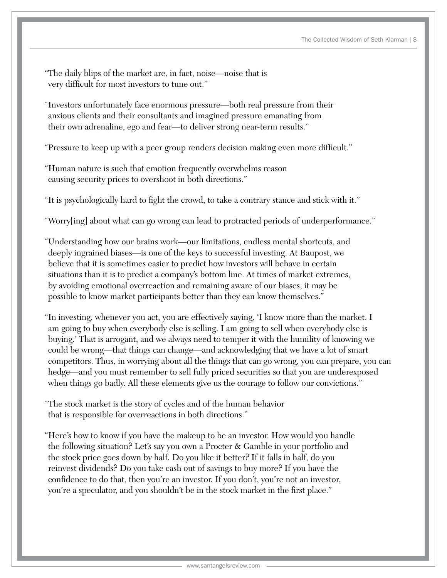- "The daily blips of the market are, in fact, noise—noise that is very difficult for most investors to tune out."
- "Investors unfortunately face enormous pressure—both real pressure from their anxious clients and their consultants and imagined pressure emanating from their own adrenaline, ego and fear—to deliver strong near-term results."
- "Pressure to keep up with a peer group renders decision making even more difficult."
- "Human nature is such that emotion frequently overwhelms reason causing security prices to overshoot in both directions."
- "It is psychologically hard to fight the crowd, to take a contrary stance and stick with it."
- "Worry[ing] about what can go wrong can lead to protracted periods of underperformance."
- "Understanding how our brains work—our limitations, endless mental shortcuts, and deeply ingrained biases—is one of the keys to successful investing. At Baupost, we believe that it is sometimes easier to predict how investors will behave in certain situations than it is to predict a company's bottom line. At times of market extremes, by avoiding emotional overreaction and remaining aware of our biases, it may be possible to know market participants better than they can know themselves."
- "In investing, whenever you act, you are effectively saying, 'I know more than the market. I am going to buy when everybody else is selling. I am going to sell when everybody else is buying.' That is arrogant, and we always need to temper it with the humility of knowing we could be wrong—that things can change—and acknowledging that we have a lot of smart competitors. Thus, in worrying about all the things that can go wrong, you can prepare, you can hedge—and you must remember to sell fully priced securities so that you are underexposed when things go badly. All these elements give us the courage to follow our convictions."
- "The stock market is the story of cycles and of the human behavior that is responsible for overreactions in both directions."
- "Here's how to know if you have the makeup to be an investor. How would you handle the following situation? Let's say you own a Procter & Gamble in your portfolio and the stock price goes down by half. Do you like it better? If it falls in half, do you reinvest dividends? Do you take cash out of savings to buy more? If you have the confidence to do that, then you're an investor. If you don't, you're not an investor, you're a speculator, and you shouldn't be in the stock market in the first place."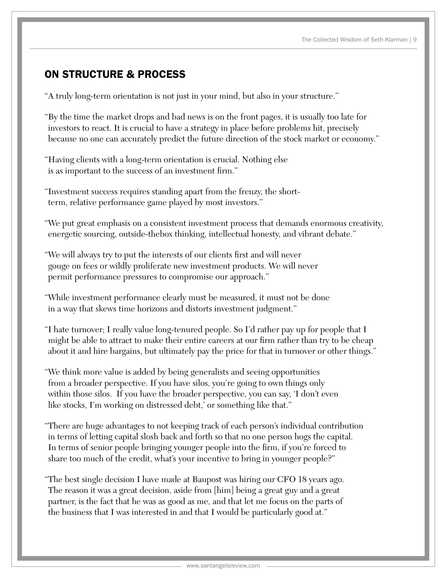## ON STRUCTURE & PROCESS

- "A truly long-term orientation is not just in your mind, but also in your structure."
- "By the time the market drops and bad news is on the front pages, it is usually too late for investors to react. It is crucial to have a strategy in place before problems hit, precisely because no one can accurately predict the future direction of the stock market or economy."
- "Having clients with a long-term orientation is crucial. Nothing else is as important to the success of an investment firm."
- "Investment success requires standing apart from the frenzy, the shortterm, relative performance game played by most investors."
- "We put great emphasis on a consistent investment process that demands enormous creativity, energetic sourcing, outside-thebox thinking, intellectual honesty, and vibrant debate."
- "We will always try to put the interests of our clients first and will never gouge on fees or wildly proliferate new investment products. We will never permit performance pressures to compromise our approach."
- "While investment performance clearly must be measured, it must not be done in a way that skews time horizons and distorts investment judgment."
- "I hate turnover; I really value long-tenured people. So I'd rather pay up for people that I might be able to attract to make their entire careers at our firm rather than try to be cheap about it and hire bargains, but ultimately pay the price for that in turnover or other things."
- "We think more value is added by being generalists and seeing opportunities from a broader perspective. If you have silos, you're going to own things only within those silos. If you have the broader perspective, you can say, 'I don't even like stocks, I'm working on distressed debt,' or something like that."
- "There are huge advantages to not keeping track of each person's individual contribution in terms of letting capital slosh back and forth so that no one person hogs the capital. In terms of senior people bringing younger people into the firm, if you're forced to share too much of the credit, what's your incentive to bring in younger people?"
- "The best single decision I have made at Baupost was hiring our CFO 18 years ago. The reason it was a great decision, aside from [him] being a great guy and a great partner, is the fact that he was as good as me, and that let me focus on the parts of the business that I was interested in and that I would be particularly good at."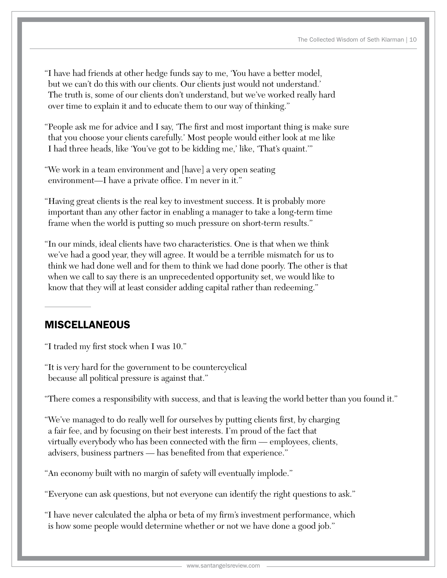- "I have had friends at other hedge funds say to me, 'You have a better model, but we can't do this with our clients. Our clients just would not understand.' The truth is, some of our clients don't understand, but we've worked really hard over time to explain it and to educate them to our way of thinking."
- "People ask me for advice and I say, 'The first and most important thing is make sure that you choose your clients carefully.' Most people would either look at me like I had three heads, like 'You've got to be kidding me,' like, 'That's quaint.'"
- "We work in a team environment and [have] a very open seating environment—I have a private office. I'm never in it."
- "Having great clients is the real key to investment success. It is probably more important than any other factor in enabling a manager to take a long-term time frame when the world is putting so much pressure on short-term results."
- "In our minds, ideal clients have two characteristics. One is that when we think we've had a good year, they will agree. It would be a terrible mismatch for us to think we had done well and for them to think we had done poorly. The other is that when we call to say there is an unprecedented opportunity set, we would like to know that they will at least consider adding capital rather than redeeming."

## **MISCELLANEOUS**

"I traded my first stock when I was 10."

"It is very hard for the government to be countercyclical because all political pressure is against that."

"There comes a responsibility with success, and that is leaving the world better than you found it."

"We've managed to do really well for ourselves by putting clients first, by charging a fair fee, and by focusing on their best interests. I'm proud of the fact that virtually everybody who has been connected with the firm — employees, clients, advisers, business partners — has benefited from that experience."

"An economy built with no margin of safety will eventually implode."

"Everyone can ask questions, but not everyone can identify the right questions to ask."

"I have never calculated the alpha or beta of my firm's investment performance, which is how some people would determine whether or not we have done a good job."